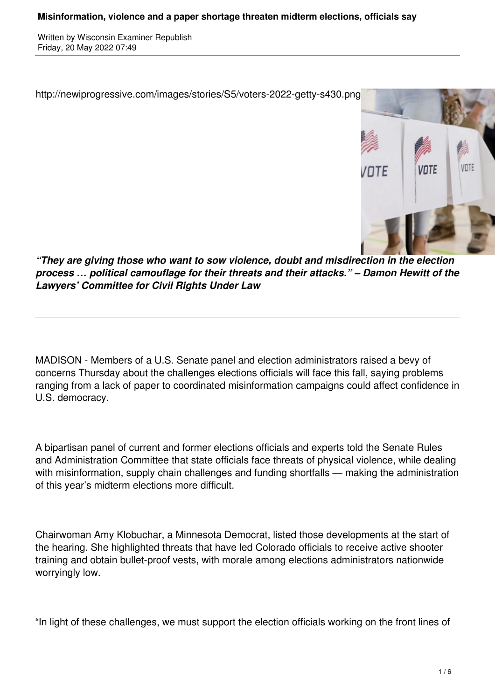Written by Wisconsin Examiner Republish Friday, 20 May 2022 07:49



*"They are giving those who want to sow violence, doubt and misdirection in the election process … political camouflage for their threats and their attacks." – Damon Hewitt of the Lawyers' Committee for Civil Rights Under Law*

MADISON - Members of a U.S. Senate panel and election administrators raised a bevy of concerns Thursday about the challenges elections officials will face this fall, saying problems ranging from a lack of paper to coordinated misinformation campaigns could affect confidence in U.S. democracy.

A bipartisan panel of current and former elections officials and experts told the Senate Rules and Administration Committee that state officials face threats of physical violence, while dealing with misinformation, supply chain challenges and funding shortfalls — making the administration of this year's midterm elections more difficult.

Chairwoman Amy Klobuchar, a Minnesota Democrat, listed those developments at the start of the hearing. She highlighted threats that have led Colorado officials to receive active shooter training and obtain bullet-proof vests, with morale among elections administrators nationwide worryingly low.

"In light of these challenges, we must support the election officials working on the front lines of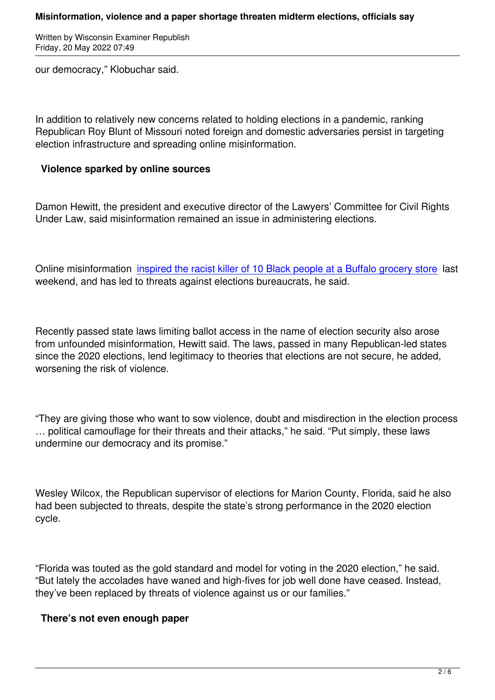our democracy," Klobuchar said.

In addition to relatively new concerns related to holding elections in a pandemic, ranking Republican Roy Blunt of Missouri noted foreign and domestic adversaries persist in targeting election infrastructure and spreading online misinformation.

## **Violence sparked by online sources**

Damon Hewitt, the president and executive director of the Lawyers' Committee for Civil Rights Under Law, said misinformation remained an issue in administering elections.

Online misinformation inspired the racist killer of 10 Black people at a Buffalo grocery store last weekend, and has led to threats against elections bureaucrats, he said.

Recently passed state laws limiting ballot access in the name of election security also arose from unfounded misinformation, Hewitt said. The laws, passed in many Republican-led states since the 2020 elections, lend legitimacy to theories that elections are not secure, he added, worsening the risk of violence.

"They are giving those who want to sow violence, doubt and misdirection in the election process … political camouflage for their threats and their attacks," he said. "Put simply, these laws undermine our democracy and its promise."

Wesley Wilcox, the Republican supervisor of elections for Marion County, Florida, said he also had been subjected to threats, despite the state's strong performance in the 2020 election cycle.

"Florida was touted as the gold standard and model for voting in the 2020 election," he said. "But lately the accolades have waned and high-fives for job well done have ceased. Instead, they've been replaced by threats of violence against us or our families."

## **There's not even enough paper**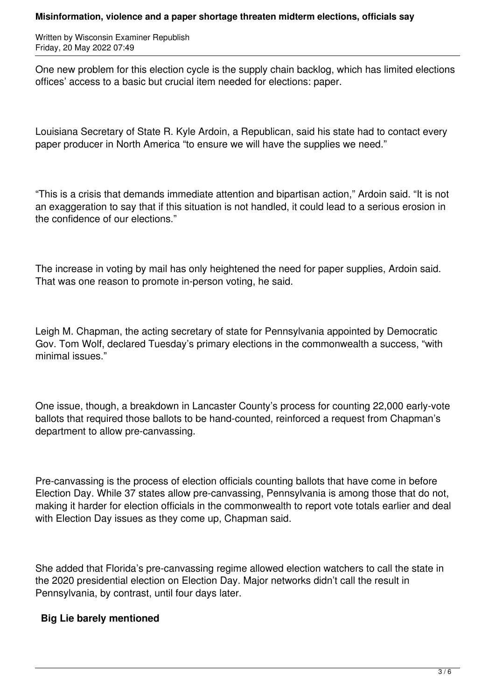## **Misinformation, violence and a paper shortage threaten midterm elections, officials say**

Written by Wisconsin Examiner Republish Friday, 20 May 2022 07:49

One new problem for this election cycle is the supply chain backlog, which has limited elections offices' access to a basic but crucial item needed for elections: paper.

Louisiana Secretary of State R. Kyle Ardoin, a Republican, said his state had to contact every paper producer in North America "to ensure we will have the supplies we need."

"This is a crisis that demands immediate attention and bipartisan action," Ardoin said. "It is not an exaggeration to say that if this situation is not handled, it could lead to a serious erosion in the confidence of our elections."

The increase in voting by mail has only heightened the need for paper supplies, Ardoin said. That was one reason to promote in-person voting, he said.

Leigh M. Chapman, the acting secretary of state for Pennsylvania appointed by Democratic Gov. Tom Wolf, declared Tuesday's primary elections in the commonwealth a success, "with minimal issues."

One issue, though, a breakdown in Lancaster County's process for counting 22,000 early-vote ballots that required those ballots to be hand-counted, reinforced a request from Chapman's department to allow pre-canvassing.

Pre-canvassing is the process of election officials counting ballots that have come in before Election Day. While 37 states allow pre-canvassing, Pennsylvania is among those that do not, making it harder for election officials in the commonwealth to report vote totals earlier and deal with Election Day issues as they come up, Chapman said.

She added that Florida's pre-canvassing regime allowed election watchers to call the state in the 2020 presidential election on Election Day. Major networks didn't call the result in Pennsylvania, by contrast, until four days later.

## **Big Lie barely mentioned**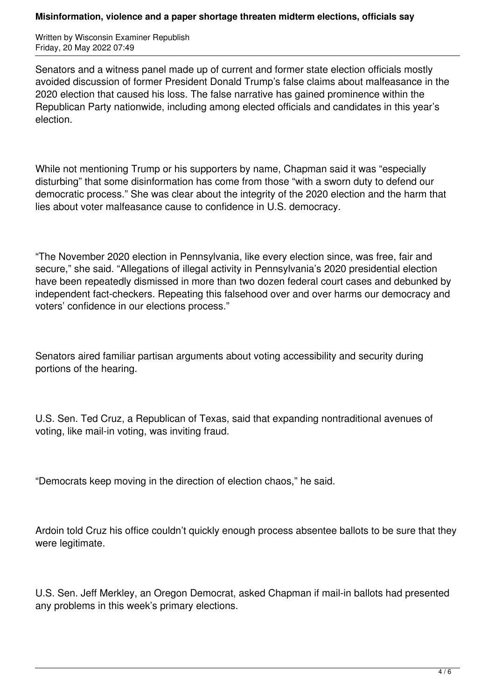Written by Wisconsin Examiner Republish Friday, 20 May 2022 07:49

Senators and a witness panel made up of current and former state election officials mostly avoided discussion of former President Donald Trump's false claims about malfeasance in the 2020 election that caused his loss. The false narrative has gained prominence within the Republican Party nationwide, including among elected officials and candidates in this year's election.

While not mentioning Trump or his supporters by name, Chapman said it was "especially disturbing" that some disinformation has come from those "with a sworn duty to defend our democratic process." She was clear about the integrity of the 2020 election and the harm that lies about voter malfeasance cause to confidence in U.S. democracy.

"The November 2020 election in Pennsylvania, like every election since, was free, fair and secure," she said. "Allegations of illegal activity in Pennsylvania's 2020 presidential election have been repeatedly dismissed in more than two dozen federal court cases and debunked by independent fact-checkers. Repeating this falsehood over and over harms our democracy and voters' confidence in our elections process."

Senators aired familiar partisan arguments about voting accessibility and security during portions of the hearing.

U.S. Sen. Ted Cruz, a Republican of Texas, said that expanding nontraditional avenues of voting, like mail-in voting, was inviting fraud.

"Democrats keep moving in the direction of election chaos," he said.

Ardoin told Cruz his office couldn't quickly enough process absentee ballots to be sure that they were legitimate.

U.S. Sen. Jeff Merkley, an Oregon Democrat, asked Chapman if mail-in ballots had presented any problems in this week's primary elections.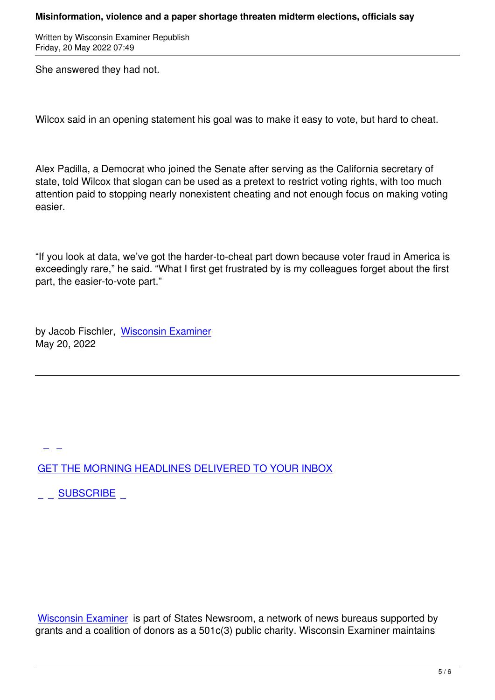She answered they had not.

Wilcox said in an opening statement his goal was to make it easy to vote, but hard to cheat.

Alex Padilla, a Democrat who joined the Senate after serving as the California secretary of state, told Wilcox that slogan can be used as a pretext to restrict voting rights, with too much attention paid to stopping nearly nonexistent cheating and not enough focus on making voting easier.

"If you look at data, we've got the harder-to-cheat part down because voter fraud in America is exceedingly rare," he said. "What I first get frustrated by is my colleagues forget about the first part, the easier-to-vote part."

by Jacob Fischler, Wisconsin Examiner May 20, 2022

GET THE MORNING HEADLINES DELIVERED TO YOUR INBOX

[S](subscribe)UBSCRIBE

Wisconsin Examiner is part of States Newsroom, a network of news bureaus supported by grants and a coalition of donors as a 501c(3) public charity. Wisconsin Examiner maintains